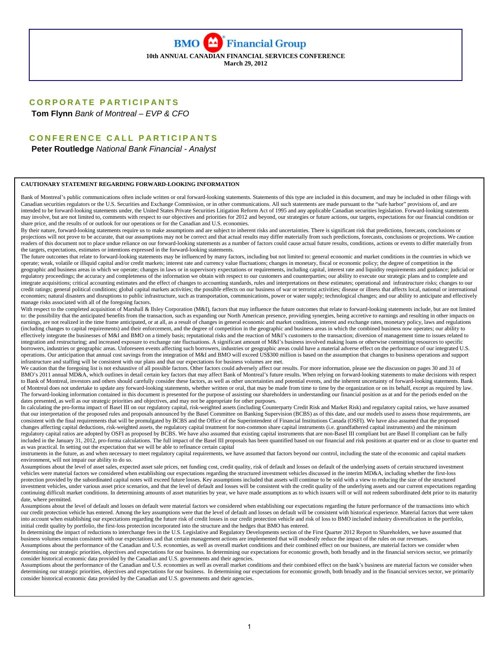**March 29, 2012** 

## **CORPORATE PARTICIPANTS**

 **Tom Flynn** *Bank of Montreal – EVP & CFO* 

## **CONFERENCE CALL PARTICIPANTS**

 **Peter Routledge** *National Bank Financial - Analyst* 

#### **CAUTIONARY STATEMENT REGARDING FORWARD-LOOKING INFORMATION**

Bank of Montreal's public communications often include written or oral forward-looking statements. Statements of this type are included in this document, and may be included in other filings with Canadian securities regulators or the U.S. Securities and Exchange Commission, or in other communications. All such statements are made pursuant to the "safe harbor" provisions of, and are intended to be forward-looking statements under, the United States Private Securities Litigation Reform Act of 1995 and any applicable Canadian securities legislation. Forward-looking statements may involve, but are not limited to, comments with respect to our objectives and priorities for 2012 and beyond, our strategies or future actions, our targets, expectations for our financial condition or share price, and the results of or outlook for our operations or for the Canadian and U.S. economies.

By their nature, forward-looking statements require us to make assumptions and are subject to inherent risks and uncertainties. There is significant risk that predictions, forecasts, conclusions or projections will not prove to be accurate, that our assumptions may not be correct and that actual results may differ materially from such predictions, forecasts, conclusions or projections. We caution readers of this document not to place undue reliance on our forward-looking statements as a number of factors could cause actual future results, conditions, actions or events to differ materially from the targets, expectations, estimates or intentions expressed in the forward-looking statements.

The future outcomes that relate to forward-looking statements may be influenced by many factors, including but not limited to: general economic and market conditions in the countries in which we operate; weak, volatile or illiquid capital and/or credit markets; interest rate and currency value fluctuations; changes in monetary, fiscal or economic policy; the degree of competition in the geographic and business areas in which we operate; changes in laws or in supervisory expectations or requirements, including capital, interest rate and liquidity requirements and guidance; judicial or regulatory proceedings; the accuracy and completeness of the information we obtain with respect to our customers and counterparties; our ability to execute our strategic plans and to complete and integrate acquisitions; critical accounting estimates and the effect of changes to accounting standards, rules and interpretations on these estimates; operational and infrastructure risks; changes to our credit ratings; general political conditions; global capital markets activities; the possible effects on our business of war or terrorist activities; disease or illness that affects local, national or international economies; natural disasters and disruptions to public infrastructure, such as transportation, communications, power or water supply; technological changes; and our ability to anticipate and effectively manage risks associated with all of the foregoing factors.

With respect to the completed acquisition of Marshall & Ilsley Corporation (M&I), factors that may influence the future outcomes that relate to forward-looking statements include, but are not limited With respect to the co to: the possibility that the anticipated benefits from the transaction, such as expanding our North American presence, providing synergies, being accretive to earnings and resulting in other impacts on earnings, are not realized in the time frame anticipated, or at all, as a result of changes in general economic and market conditions, interest and exchange rates, monetary policy, laws and regulations (including changes to capital requirements) and their enforcement, and the degree of competition in the geographic and business areas in which the combined business now operates; our ability to effectively integrate the businesses of M&I and BMO on a timely basis; reputational risks and the reaction of M&I's customers to the transaction; diversion of management time to issues related to integration and restructuring; and increased exposure to exchange rate fluctuations. A significant amount of M&I's business involved making loans or otherwise committing resources to specific borrowers, industries or geographic areas. Unforeseen events affecting such borrowers, industries or geographic areas could have a material adverse effect on the performance of our integrated U.S. operations. Our anticipation that annual cost savings from the integration of M&I and BMO will exceed US\$300 million is based on the assumption that changes to business operations and support infrastructure and staffing will be consistent with our plans and that our expectations for business volumes are met.

We caution that the foregoing list is not exhaustive of all possible factors. Other factors could adversely affect our results. For more information, please see the discussion on pages 30 and 31 of BMO's 2011 annual MD&A, which outlines in detail certain key factors that may affect Bank of Montreal's future results. When relying on forward-looking statements to make decisions with respect to Bank of Montreal, investors and others should carefully consider these factors, as well as other uncertainties and potential events, and the inherent uncertainty of forward-looking statements. Bank of Montreal does not undertake to update any forward-looking statements, whether written or oral, that may be made from time to time by the organization or on its behalf, except as required by law. The forward-looking information contained in this document is presented for the purpose of assisting our shareholders in understanding our financial position as at and for the periods ended on the dates presented, as well as our strategic priorities and objectives, and may not be appropriate for other purposes.

In calculating the pro-forma impact of Basel III on our regulatory capital, risk-weighted assets (including Counterparty Credit Risk and Market Risk) and regulatory capital ratios, we have assumed that our interpretation of the proposed rules and proposals announced by the Basel Committee on Banking Supervision (BCBS) as of this date, and our models used to assess those requirements, are consistent with the final requirements that will be promulgated by BCBS and the Office of the Superintendent of Financial Institutions Canada (OSFI). We have also assumed that the proposed changes affecting capital deductions, risk-weighted assets, the regulatory capital treatment for non-common share capital instruments (i.e. grandfathered capital instruments) and the minimum regulatory capital ratios are adopted by OSFI as proposed by BCBS. We have also assumed that existing capital instruments that are non-Basel III compliant but are Basel II compliant can be fully included in the January 31, 2012, pro-forma calculations. The full impact of the Basel III proposals has been quantified based on our financial and risk positions at quarter end or as close to quarter end as was practical. In setting out the expectation that we will be able to refinance certain capital

instruments in the future, as and when necessary to meet regulatory capital requirements, we have assumed that factors beyond our control, including the state of the economic and capital markets environment, will not impair our ability to do so.

Assumptions about the level of asset sales, expected asset sale prices, net funding cost, credit quality, risk of default and losses on default of the underlying assets of certain structured investment vehicles were material factors we considered when establishing our expectations regarding the structured investment vehicles discussed in the interim MD&A, including whether the first-loss protection provided by the subordinated capital notes will exceed future losses. Key assumptions included that assets will continue to be sold with a view to reducing the size of the structured investment vehicles, under various asset price scenarios, and that the level of default and losses will be consistent with the credit quality of the underlying assets and our current expectations regarding continuing difficult market conditions. In determining amounts of asset maturities by year, we have made assumptions as to which issuers will or will not redeem subordinated debt prior to its maturity date, where permitted.

Assumptions about the level of default and losses on default were material factors we considered when establishing our expectations regarding the future performance of the transactions into which our credit protection vehicle has entered. Among the key assumptions were that the level of default and losses on default will be consistent with historical experience. Material factors that were taken into account when establishing our expectations regarding the future risk of credit losses in our credit protection vehicle and risk of loss to BMO included industry diversification in the portfolio, initial credit quality by portfolio, the first-loss protection incorporated into the structure and the hedges that BMO has entered.

In determining the impact of reductions to interchange fees in the U.S. Legislative and Regulatory Developments section of the First Quarter 2012 Report to Shareholders, we have assumed that business volumes remain consistent with our expectations and that certain management actions are implemented that will modestly reduce the impact of the rules on our revenues.

Assumptions about the performance of the Canadian and U.S. economies, as well as overall market conditions and their combined effect on our business, are material factors we consider when determining our strategic priorities, objectives and expectations for our business. In determining our expectations for economic growth, both broadly and in the financial services sector, we primarily consider historical economic data provided by the Canadian and U.S. governments and their agencies.

Assumptions about the performance of the Canadian and U.S. economies as well as overall market conditions and their combined effect on the bank's business are material factors we consider when determining our strategic priorities, objectives and expectations for our business. In determining our expectations for economic growth, both broadly and in the financial services sector, we primarily consider historical economic data provided by the Canadian and U.S. governments and their agencies.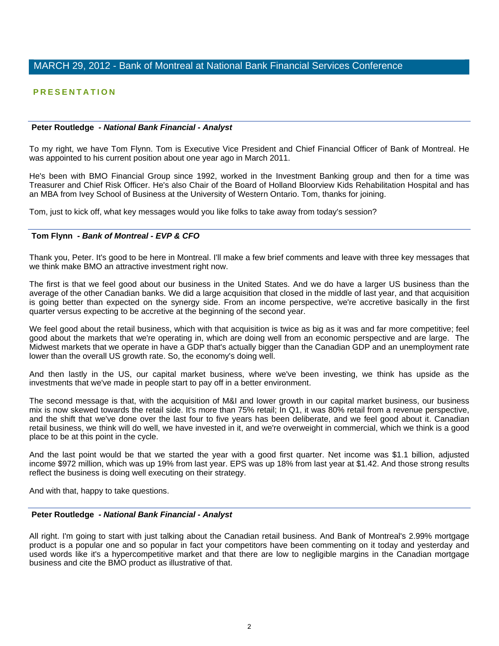## **PRESENTATION**

### **Peter Routledge** *- National Bank Financial - Analyst*

To my right, we have Tom Flynn. Tom is Executive Vice President and Chief Financial Officer of Bank of Montreal. He was appointed to his current position about one year ago in March 2011.

He's been with BMO Financial Group since 1992, worked in the Investment Banking group and then for a time was Treasurer and Chief Risk Officer. He's also Chair of the Board of Holland Bloorview Kids Rehabilitation Hospital and has an MBA from Ivey School of Business at the University of Western Ontario. Tom, thanks for joining.

Tom, just to kick off, what key messages would you like folks to take away from today's session?

### **Tom Flynn** *- Bank of Montreal - EVP & CFO*

Thank you, Peter. It's good to be here in Montreal. I'll make a few brief comments and leave with three key messages that we think make BMO an attractive investment right now.

The first is that we feel good about our business in the United States. And we do have a larger US business than the average of the other Canadian banks. We did a large acquisition that closed in the middle of last year, and that acquisition is going better than expected on the synergy side. From an income perspective, we're accretive basically in the first quarter versus expecting to be accretive at the beginning of the second year.

We feel good about the retail business, which with that acquisition is twice as big as it was and far more competitive; feel good about the markets that we're operating in, which are doing well from an economic perspective and are large. The Midwest markets that we operate in have a GDP that's actually bigger than the Canadian GDP and an unemployment rate lower than the overall US growth rate. So, the economy's doing well.

And then lastly in the US, our capital market business, where we've been investing, we think has upside as the investments that we've made in people start to pay off in a better environment.

The second message is that, with the acquisition of M&I and lower growth in our capital market business, our business mix is now skewed towards the retail side. It's more than 75% retail; In Q1, it was 80% retail from a revenue perspective, and the shift that we've done over the last four to five years has been deliberate, and we feel good about it. Canadian retail business, we think will do well, we have invested in it, and we're overweight in commercial, which we think is a good place to be at this point in the cycle.

And the last point would be that we started the year with a good first quarter. Net income was \$1.1 billion, adjusted income \$972 million, which was up 19% from last year. EPS was up 18% from last year at \$1.42. And those strong results reflect the business is doing well executing on their strategy.

And with that, happy to take questions.

#### **Peter Routledge** *- National Bank Financial - Analyst*

All right. I'm going to start with just talking about the Canadian retail business. And Bank of Montreal's 2.99% mortgage product is a popular one and so popular in fact your competitors have been commenting on it today and yesterday and used words like it's a hypercompetitive market and that there are low to negligible margins in the Canadian mortgage business and cite the BMO product as illustrative of that.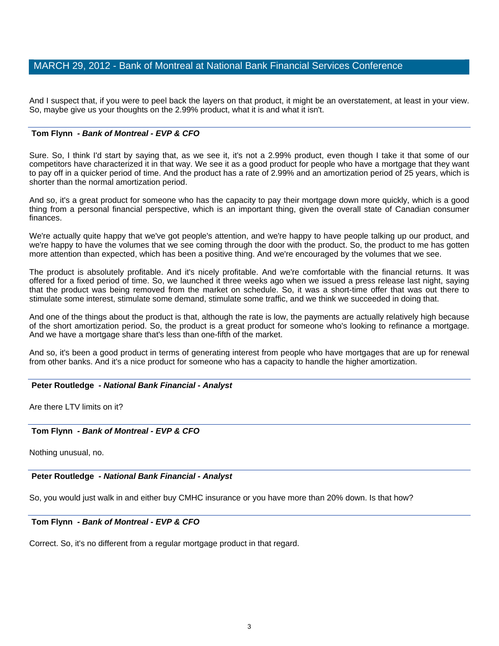And I suspect that, if you were to peel back the layers on that product, it might be an overstatement, at least in your view. So, maybe give us your thoughts on the 2.99% product, what it is and what it isn't.

### **Tom Flynn** *- Bank of Montreal - EVP & CFO*

Sure. So, I think I'd start by saying that, as we see it, it's not a 2.99% product, even though I take it that some of our competitors have characterized it in that way. We see it as a good product for people who have a mortgage that they want to pay off in a quicker period of time. And the product has a rate of 2.99% and an amortization period of 25 years, which is shorter than the normal amortization period.

And so, it's a great product for someone who has the capacity to pay their mortgage down more quickly, which is a good thing from a personal financial perspective, which is an important thing, given the overall state of Canadian consumer finances.

We're actually quite happy that we've got people's attention, and we're happy to have people talking up our product, and we're happy to have the volumes that we see coming through the door with the product. So, the product to me has gotten more attention than expected, which has been a positive thing. And we're encouraged by the volumes that we see.

The product is absolutely profitable. And it's nicely profitable. And we're comfortable with the financial returns. It was offered for a fixed period of time. So, we launched it three weeks ago when we issued a press release last night, saying that the product was being removed from the market on schedule. So, it was a short-time offer that was out there to stimulate some interest, stimulate some demand, stimulate some traffic, and we think we succeeded in doing that.

And one of the things about the product is that, although the rate is low, the payments are actually relatively high because of the short amortization period. So, the product is a great product for someone who's looking to refinance a mortgage. And we have a mortgage share that's less than one-fifth of the market.

And so, it's been a good product in terms of generating interest from people who have mortgages that are up for renewal from other banks. And it's a nice product for someone who has a capacity to handle the higher amortization.

## **Peter Routledge** *- National Bank Financial - Analyst*

Are there LTV limits on it?

## **Tom Flynn** *- Bank of Montreal - EVP & CFO*

Nothing unusual, no.

## **Peter Routledge** *- National Bank Financial - Analyst*

So, you would just walk in and either buy CMHC insurance or you have more than 20% down. Is that how?

#### **Tom Flynn** *- Bank of Montreal - EVP & CFO*

Correct. So, it's no different from a regular mortgage product in that regard.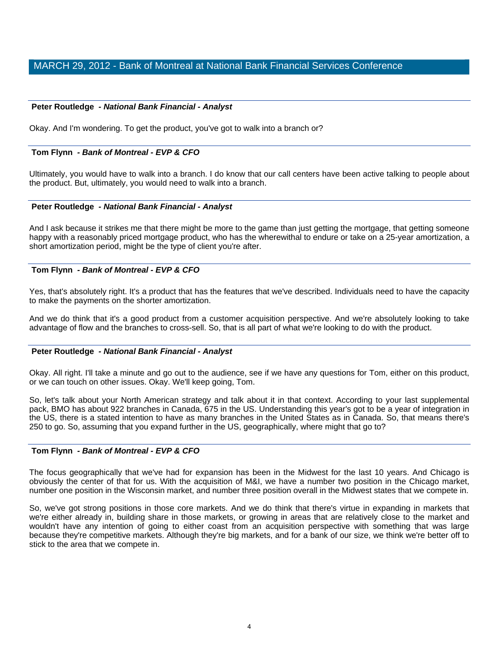### **Peter Routledge** *- National Bank Financial - Analyst*

Okay. And I'm wondering. To get the product, you've got to walk into a branch or?

### **Tom Flynn** *- Bank of Montreal - EVP & CFO*

Ultimately, you would have to walk into a branch. I do know that our call centers have been active talking to people about the product. But, ultimately, you would need to walk into a branch.

### **Peter Routledge** *- National Bank Financial - Analyst*

And I ask because it strikes me that there might be more to the game than just getting the mortgage, that getting someone happy with a reasonably priced mortgage product, who has the wherewithal to endure or take on a 25-year amortization, a short amortization period, might be the type of client you're after.

### **Tom Flynn** *- Bank of Montreal - EVP & CFO*

Yes, that's absolutely right. It's a product that has the features that we've described. Individuals need to have the capacity to make the payments on the shorter amortization.

And we do think that it's a good product from a customer acquisition perspective. And we're absolutely looking to take advantage of flow and the branches to cross-sell. So, that is all part of what we're looking to do with the product.

#### **Peter Routledge** *- National Bank Financial - Analyst*

Okay. All right. I'll take a minute and go out to the audience, see if we have any questions for Tom, either on this product, or we can touch on other issues. Okay. We'll keep going, Tom.

So, let's talk about your North American strategy and talk about it in that context. According to your last supplemental pack, BMO has about 922 branches in Canada, 675 in the US. Understanding this year's got to be a year of integration in the US, there is a stated intention to have as many branches in the United States as in Canada. So, that means there's 250 to go. So, assuming that you expand further in the US, geographically, where might that go to?

## **Tom Flynn** *- Bank of Montreal - EVP & CFO*

The focus geographically that we've had for expansion has been in the Midwest for the last 10 years. And Chicago is obviously the center of that for us. With the acquisition of M&I, we have a number two position in the Chicago market, number one position in the Wisconsin market, and number three position overall in the Midwest states that we compete in.

So, we've got strong positions in those core markets. And we do think that there's virtue in expanding in markets that we're either already in, building share in those markets, or growing in areas that are relatively close to the market and wouldn't have any intention of going to either coast from an acquisition perspective with something that was large because they're competitive markets. Although they're big markets, and for a bank of our size, we think we're better off to stick to the area that we compete in.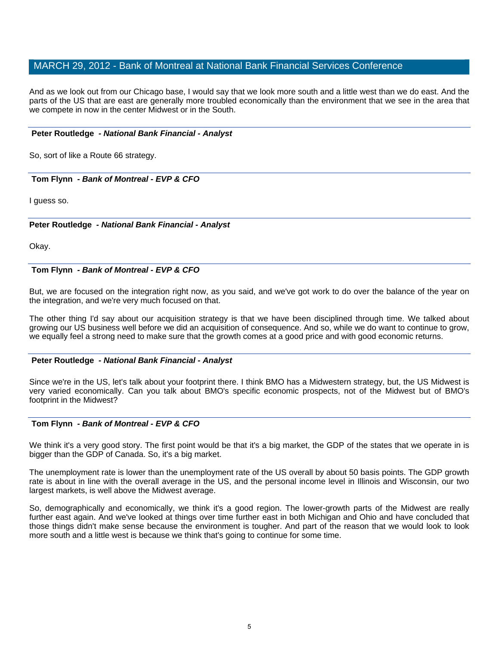And as we look out from our Chicago base, I would say that we look more south and a little west than we do east. And the parts of the US that are east are generally more troubled economically than the environment that we see in the area that we compete in now in the center Midwest or in the South.

### **Peter Routledge** *- National Bank Financial - Analyst*

So, sort of like a Route 66 strategy.

## **Tom Flynn** *- Bank of Montreal - EVP & CFO*

I guess so.

### **Peter Routledge** *- National Bank Financial - Analyst*

Okay.

## **Tom Flynn** *- Bank of Montreal - EVP & CFO*

But, we are focused on the integration right now, as you said, and we've got work to do over the balance of the year on the integration, and we're very much focused on that.

The other thing I'd say about our acquisition strategy is that we have been disciplined through time. We talked about growing our US business well before we did an acquisition of consequence. And so, while we do want to continue to grow, we equally feel a strong need to make sure that the growth comes at a good price and with good economic returns.

## **Peter Routledge** *- National Bank Financial - Analyst*

Since we're in the US, let's talk about your footprint there. I think BMO has a Midwestern strategy, but, the US Midwest is very varied economically. Can you talk about BMO's specific economic prospects, not of the Midwest but of BMO's footprint in the Midwest?

## **Tom Flynn** *- Bank of Montreal - EVP & CFO*

We think it's a very good story. The first point would be that it's a big market, the GDP of the states that we operate in is bigger than the GDP of Canada. So, it's a big market.

The unemployment rate is lower than the unemployment rate of the US overall by about 50 basis points. The GDP growth rate is about in line with the overall average in the US, and the personal income level in Illinois and Wisconsin, our two largest markets, is well above the Midwest average.

So, demographically and economically, we think it's a good region. The lower-growth parts of the Midwest are really further east again. And we've looked at things over time further east in both Michigan and Ohio and have concluded that those things didn't make sense because the environment is tougher. And part of the reason that we would look to look more south and a little west is because we think that's going to continue for some time.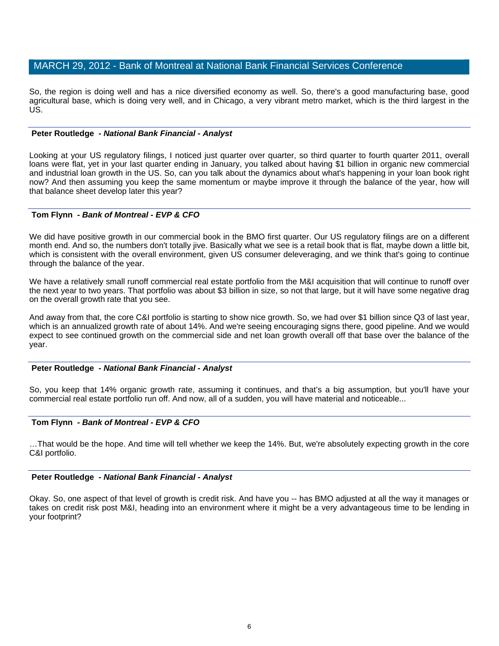So, the region is doing well and has a nice diversified economy as well. So, there's a good manufacturing base, good agricultural base, which is doing very well, and in Chicago, a very vibrant metro market, which is the third largest in the US.

#### **Peter Routledge** *- National Bank Financial - Analyst*

Looking at your US regulatory filings, I noticed just quarter over quarter, so third quarter to fourth quarter 2011, overall loans were flat, yet in your last quarter ending in January, you talked about having \$1 billion in organic new commercial and industrial loan growth in the US. So, can you talk about the dynamics about what's happening in your loan book right now? And then assuming you keep the same momentum or maybe improve it through the balance of the year, how will that balance sheet develop later this year?

## **Tom Flynn** *- Bank of Montreal - EVP & CFO*

We did have positive growth in our commercial book in the BMO first quarter. Our US regulatory filings are on a different month end. And so, the numbers don't totally jive. Basically what we see is a retail book that is flat, maybe down a little bit, which is consistent with the overall environment, given US consumer deleveraging, and we think that's going to continue through the balance of the year.

We have a relatively small runoff commercial real estate portfolio from the M&I acquisition that will continue to runoff over the next year to two years. That portfolio was about \$3 billion in size, so not that large, but it will have some negative drag on the overall growth rate that you see.

And away from that, the core C&I portfolio is starting to show nice growth. So, we had over \$1 billion since Q3 of last year, which is an annualized growth rate of about 14%. And we're seeing encouraging signs there, good pipeline. And we would expect to see continued growth on the commercial side and net loan growth overall off that base over the balance of the year.

#### **Peter Routledge** *- National Bank Financial - Analyst*

So, you keep that 14% organic growth rate, assuming it continues, and that's a big assumption, but you'll have your commercial real estate portfolio run off. And now, all of a sudden, you will have material and noticeable...

## **Tom Flynn** *- Bank of Montreal - EVP & CFO*

…That would be the hope. And time will tell whether we keep the 14%. But, we're absolutely expecting growth in the core C&I portfolio.

#### **Peter Routledge** *- National Bank Financial - Analyst*

Okay. So, one aspect of that level of growth is credit risk. And have you -- has BMO adjusted at all the way it manages or takes on credit risk post M&I, heading into an environment where it might be a very advantageous time to be lending in your footprint?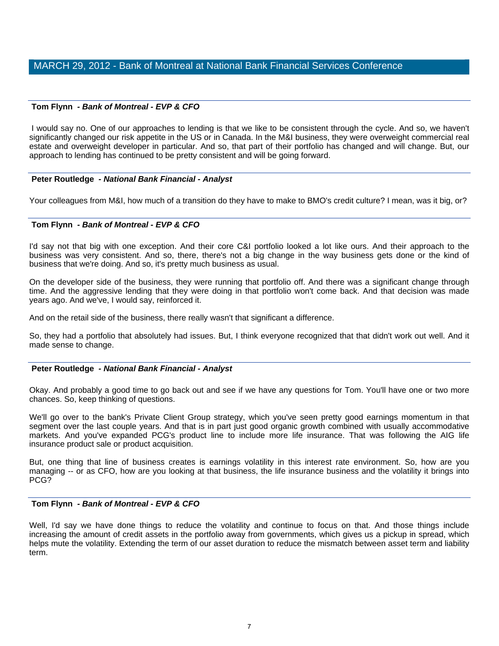### **Tom Flynn** *- Bank of Montreal - EVP & CFO*

 I would say no. One of our approaches to lending is that we like to be consistent through the cycle. And so, we haven't significantly changed our risk appetite in the US or in Canada. In the M&I business, they were overweight commercial real estate and overweight developer in particular. And so, that part of their portfolio has changed and will change. But, our approach to lending has continued to be pretty consistent and will be going forward.

### **Peter Routledge** *- National Bank Financial - Analyst*

Your colleagues from M&I, how much of a transition do they have to make to BMO's credit culture? I mean, was it big, or?

## **Tom Flynn** *- Bank of Montreal - EVP & CFO*

I'd say not that big with one exception. And their core C&I portfolio looked a lot like ours. And their approach to the business was very consistent. And so, there, there's not a big change in the way business gets done or the kind of business that we're doing. And so, it's pretty much business as usual.

On the developer side of the business, they were running that portfolio off. And there was a significant change through time. And the aggressive lending that they were doing in that portfolio won't come back. And that decision was made years ago. And we've, I would say, reinforced it.

And on the retail side of the business, there really wasn't that significant a difference.

So, they had a portfolio that absolutely had issues. But, I think everyone recognized that that didn't work out well. And it made sense to change.

#### **Peter Routledge** *- National Bank Financial - Analyst*

Okay. And probably a good time to go back out and see if we have any questions for Tom. You'll have one or two more chances. So, keep thinking of questions.

We'll go over to the bank's Private Client Group strategy, which you've seen pretty good earnings momentum in that segment over the last couple years. And that is in part just good organic growth combined with usually accommodative markets. And you've expanded PCG's product line to include more life insurance. That was following the AIG life insurance product sale or product acquisition.

But, one thing that line of business creates is earnings volatility in this interest rate environment. So, how are you managing -- or as CFO, how are you looking at that business, the life insurance business and the volatility it brings into PCG?

## **Tom Flynn** *- Bank of Montreal - EVP & CFO*

Well, I'd say we have done things to reduce the volatility and continue to focus on that. And those things include increasing the amount of credit assets in the portfolio away from governments, which gives us a pickup in spread, which helps mute the volatility. Extending the term of our asset duration to reduce the mismatch between asset term and liability term.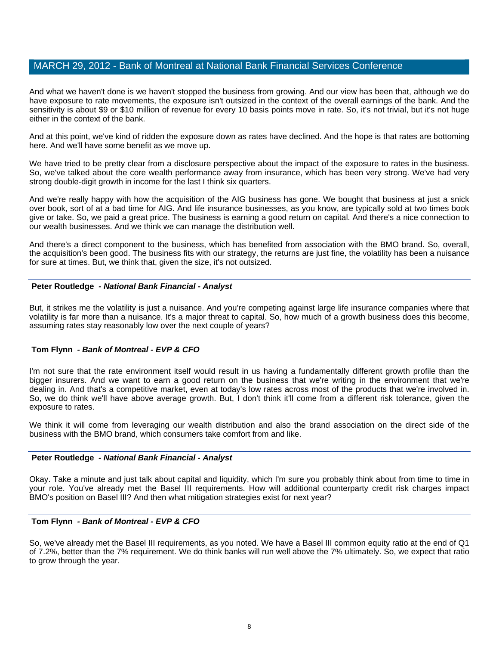And what we haven't done is we haven't stopped the business from growing. And our view has been that, although we do have exposure to rate movements, the exposure isn't outsized in the context of the overall earnings of the bank. And the sensitivity is about \$9 or \$10 million of revenue for every 10 basis points move in rate. So, it's not trivial, but it's not huge either in the context of the bank.

And at this point, we've kind of ridden the exposure down as rates have declined. And the hope is that rates are bottoming here. And we'll have some benefit as we move up.

We have tried to be pretty clear from a disclosure perspective about the impact of the exposure to rates in the business. So, we've talked about the core wealth performance away from insurance, which has been very strong. We've had very strong double-digit growth in income for the last I think six quarters.

And we're really happy with how the acquisition of the AIG business has gone. We bought that business at just a snick over book, sort of at a bad time for AIG. And life insurance businesses, as you know, are typically sold at two times book give or take. So, we paid a great price. The business is earning a good return on capital. And there's a nice connection to our wealth businesses. And we think we can manage the distribution well.

And there's a direct component to the business, which has benefited from association with the BMO brand. So, overall, the acquisition's been good. The business fits with our strategy, the returns are just fine, the volatility has been a nuisance for sure at times. But, we think that, given the size, it's not outsized.

## **Peter Routledge** *- National Bank Financial - Analyst*

But, it strikes me the volatility is just a nuisance. And you're competing against large life insurance companies where that volatility is far more than a nuisance. It's a major threat to capital. So, how much of a growth business does this become, assuming rates stay reasonably low over the next couple of years?

## **Tom Flynn** *- Bank of Montreal - EVP & CFO*

I'm not sure that the rate environment itself would result in us having a fundamentally different growth profile than the bigger insurers. And we want to earn a good return on the business that we're writing in the environment that we're dealing in. And that's a competitive market, even at today's low rates across most of the products that we're involved in. So, we do think we'll have above average growth. But, I don't think it'll come from a different risk tolerance, given the exposure to rates.

We think it will come from leveraging our wealth distribution and also the brand association on the direct side of the business with the BMO brand, which consumers take comfort from and like.

## **Peter Routledge** *- National Bank Financial - Analyst*

Okay. Take a minute and just talk about capital and liquidity, which I'm sure you probably think about from time to time in your role. You've already met the Basel III requirements. How will additional counterparty credit risk charges impact BMO's position on Basel III? And then what mitigation strategies exist for next year?

## **Tom Flynn** *- Bank of Montreal - EVP & CFO*

So, we've already met the Basel III requirements, as you noted. We have a Basel III common equity ratio at the end of Q1 of 7.2%, better than the 7% requirement. We do think banks will run well above the 7% ultimately. So, we expect that ratio to grow through the year.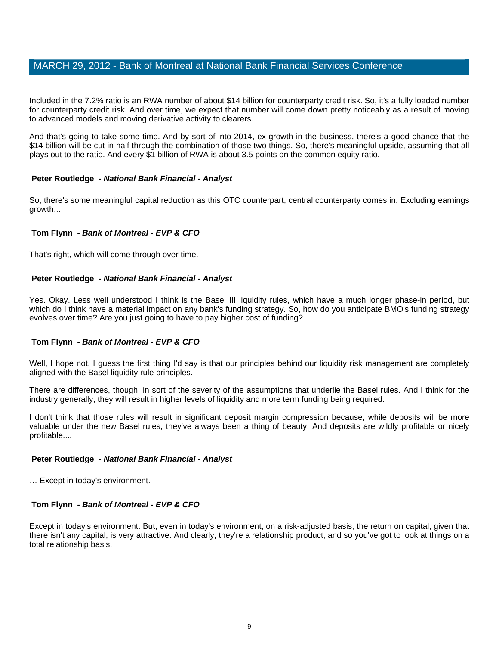Included in the 7.2% ratio is an RWA number of about \$14 billion for counterparty credit risk. So, it's a fully loaded number for counterparty credit risk. And over time, we expect that number will come down pretty noticeably as a result of moving to advanced models and moving derivative activity to clearers.

And that's going to take some time. And by sort of into 2014, ex-growth in the business, there's a good chance that the \$14 billion will be cut in half through the combination of those two things. So, there's meaningful upside, assuming that all plays out to the ratio. And every \$1 billion of RWA is about 3.5 points on the common equity ratio.

## **Peter Routledge** *- National Bank Financial - Analyst*

So, there's some meaningful capital reduction as this OTC counterpart, central counterparty comes in. Excluding earnings growth...

## **Tom Flynn** *- Bank of Montreal - EVP & CFO*

That's right, which will come through over time.

## **Peter Routledge** *- National Bank Financial - Analyst*

Yes. Okay. Less well understood I think is the Basel III liquidity rules, which have a much longer phase-in period, but which do I think have a material impact on any bank's funding strategy. So, how do you anticipate BMO's funding strategy evolves over time? Are you just going to have to pay higher cost of funding?

## **Tom Flynn** *- Bank of Montreal - EVP & CFO*

Well, I hope not. I guess the first thing I'd say is that our principles behind our liquidity risk management are completely aligned with the Basel liquidity rule principles.

There are differences, though, in sort of the severity of the assumptions that underlie the Basel rules. And I think for the industry generally, they will result in higher levels of liquidity and more term funding being required.

I don't think that those rules will result in significant deposit margin compression because, while deposits will be more valuable under the new Basel rules, they've always been a thing of beauty. And deposits are wildly profitable or nicely profitable....

#### **Peter Routledge** *- National Bank Financial - Analyst*

… Except in today's environment.

## **Tom Flynn** *- Bank of Montreal - EVP & CFO*

Except in today's environment. But, even in today's environment, on a risk-adjusted basis, the return on capital, given that there isn't any capital, is very attractive. And clearly, they're a relationship product, and so you've got to look at things on a total relationship basis.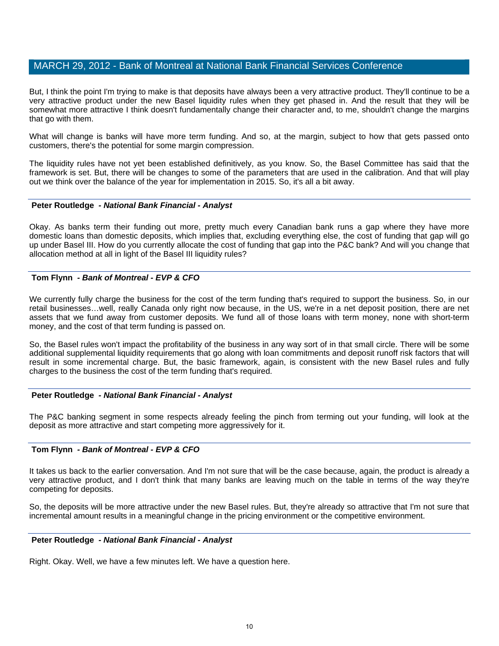But, I think the point I'm trying to make is that deposits have always been a very attractive product. They'll continue to be a very attractive product under the new Basel liquidity rules when they get phased in. And the result that they will be somewhat more attractive I think doesn't fundamentally change their character and, to me, shouldn't change the margins that go with them.

What will change is banks will have more term funding. And so, at the margin, subject to how that gets passed onto customers, there's the potential for some margin compression.

The liquidity rules have not yet been established definitively, as you know. So, the Basel Committee has said that the framework is set. But, there will be changes to some of the parameters that are used in the calibration. And that will play out we think over the balance of the year for implementation in 2015. So, it's all a bit away.

### **Peter Routledge** *- National Bank Financial - Analyst*

Okay. As banks term their funding out more, pretty much every Canadian bank runs a gap where they have more domestic loans than domestic deposits, which implies that, excluding everything else, the cost of funding that gap will go up under Basel III. How do you currently allocate the cost of funding that gap into the P&C bank? And will you change that allocation method at all in light of the Basel III liquidity rules?

## **Tom Flynn** *- Bank of Montreal - EVP & CFO*

We currently fully charge the business for the cost of the term funding that's required to support the business. So, in our retail businesses…well, really Canada only right now because, in the US, we're in a net deposit position, there are net assets that we fund away from customer deposits. We fund all of those loans with term money, none with short-term money, and the cost of that term funding is passed on.

So, the Basel rules won't impact the profitability of the business in any way sort of in that small circle. There will be some additional supplemental liquidity requirements that go along with loan commitments and deposit runoff risk factors that will result in some incremental charge. But, the basic framework, again, is consistent with the new Basel rules and fully charges to the business the cost of the term funding that's required.

## **Peter Routledge** *- National Bank Financial - Analyst*

The P&C banking segment in some respects already feeling the pinch from terming out your funding, will look at the deposit as more attractive and start competing more aggressively for it.

## **Tom Flynn** *- Bank of Montreal - EVP & CFO*

It takes us back to the earlier conversation. And I'm not sure that will be the case because, again, the product is already a very attractive product, and I don't think that many banks are leaving much on the table in terms of the way they're competing for deposits.

So, the deposits will be more attractive under the new Basel rules. But, they're already so attractive that I'm not sure that incremental amount results in a meaningful change in the pricing environment or the competitive environment.

#### **Peter Routledge** *- National Bank Financial - Analyst*

Right. Okay. Well, we have a few minutes left. We have a question here.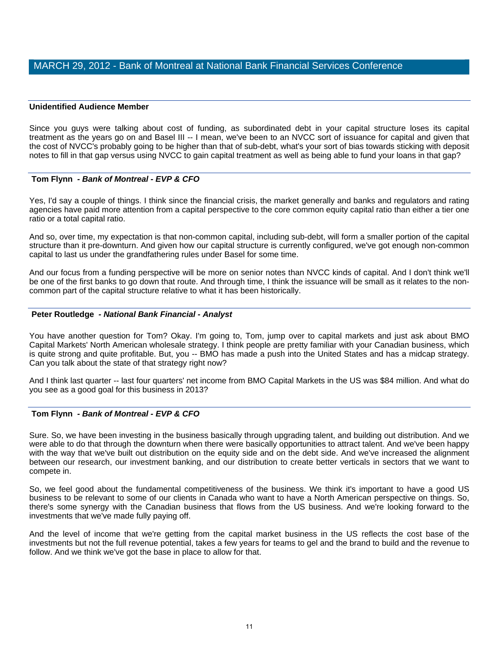#### **Unidentified Audience Member**

Since you guys were talking about cost of funding, as subordinated debt in your capital structure loses its capital treatment as the years go on and Basel III -- I mean, we've been to an NVCC sort of issuance for capital and given that the cost of NVCC's probably going to be higher than that of sub-debt, what's your sort of bias towards sticking with deposit notes to fill in that gap versus using NVCC to gain capital treatment as well as being able to fund your loans in that gap?

### **Tom Flynn** *- Bank of Montreal - EVP & CFO*

Yes, I'd say a couple of things. I think since the financial crisis, the market generally and banks and regulators and rating agencies have paid more attention from a capital perspective to the core common equity capital ratio than either a tier one ratio or a total capital ratio.

And so, over time, my expectation is that non-common capital, including sub-debt, will form a smaller portion of the capital structure than it pre-downturn. And given how our capital structure is currently configured, we've got enough non-common capital to last us under the grandfathering rules under Basel for some time.

And our focus from a funding perspective will be more on senior notes than NVCC kinds of capital. And I don't think we'll be one of the first banks to go down that route. And through time, I think the issuance will be small as it relates to the noncommon part of the capital structure relative to what it has been historically.

### **Peter Routledge** *- National Bank Financial - Analyst*

You have another question for Tom? Okay. I'm going to, Tom, jump over to capital markets and just ask about BMO Capital Markets' North American wholesale strategy. I think people are pretty familiar with your Canadian business, which is quite strong and quite profitable. But, you -- BMO has made a push into the United States and has a midcap strategy. Can you talk about the state of that strategy right now?

And I think last quarter -- last four quarters' net income from BMO Capital Markets in the US was \$84 million. And what do you see as a good goal for this business in 2013?

## **Tom Flynn** *- Bank of Montreal - EVP & CFO*

Sure. So, we have been investing in the business basically through upgrading talent, and building out distribution. And we were able to do that through the downturn when there were basically opportunities to attract talent. And we've been happy with the way that we've built out distribution on the equity side and on the debt side. And we've increased the alignment between our research, our investment banking, and our distribution to create better verticals in sectors that we want to compete in.

So, we feel good about the fundamental competitiveness of the business. We think it's important to have a good US business to be relevant to some of our clients in Canada who want to have a North American perspective on things. So, there's some synergy with the Canadian business that flows from the US business. And we're looking forward to the investments that we've made fully paying off.

And the level of income that we're getting from the capital market business in the US reflects the cost base of the investments but not the full revenue potential, takes a few years for teams to gel and the brand to build and the revenue to follow. And we think we've got the base in place to allow for that.